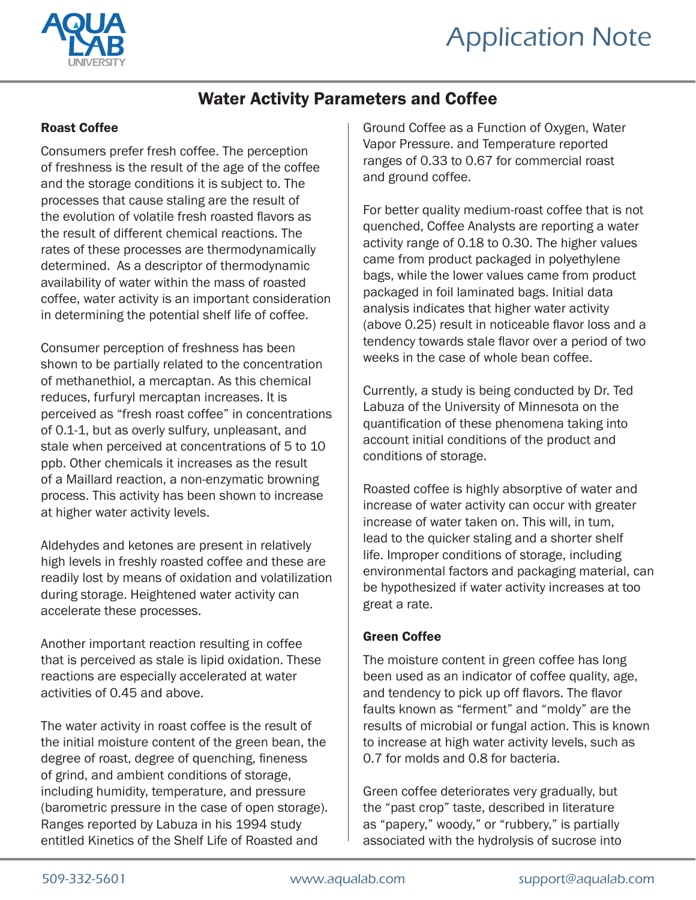



## Water Activity Parameters and Coffee

## Roast Coffee

Consumers prefer fresh coffee. The perception of freshness is the result of the age of the coffee and the storage conditions it is subject to. The processes that cause staling are the result of the evolution of volatile fresh roasted flavors as the result of different chemical reactions. The rates of these processes are thermodynamically determined. As a descriptor of thermodynamic availability of water within the mass of roasted coffee, water activity is an important consideration in determining the potential shelf life of coffee.

Consumer perception of freshness has been shown to be partially related to the concentration of methanethiol, a mercaptan. As this chemical reduces, furfuryl mercaptan increases. It is perceived as "fresh roast coffee" in concentrations of 0.1-1, but as overly sulfury, unpleasant, and stale when perceived at concentrations of 5 to 10 ppb. Other chemicals it increases as the result of a Maillard reaction, a non-enzymatic browning process. This activity has been shown to increase at higher water activity levels.

Aldehydes and ketones are present in relatively high levels in freshly roasted coffee and these are readily lost by means of oxidation and volatilization during storage. Heightened water activity can accelerate these processes.

Another important reaction resulting in coffee that is perceived as stale is lipid oxidation. These reactions are especially accelerated at water activities of 0.45 and above.

The water activity in roast coffee is the result of the initial moisture content of the green bean, the degree of roast, degree of quenching, fineness of grind, and ambient conditions of storage, including humidity, temperature, and pressure (barometric pressure in the case of open storage). Ranges reported by Labuza in his 1994 study entitled Kinetics of the Shelf Life of Roasted and

Ground Coffee as a Function of Oxygen, Water Vapor Pressure. and Temperature reported ranges of 0.33 to 0.67 for commercial roast and ground coffee.

For better quality medium-roast coffee that is not quenched, Coffee Analysts are reporting a water activity range of 0.18 to 0.30. The higher values came from product packaged in polyethylene bags, while the lower values came from product packaged in foil laminated bags. Initial data analysis indicates that higher water activity (above 0.25) result in noticeable flavor loss and a tendency towards stale flavor over a period of two weeks in the case of whole bean coffee.

Currently, a study is being conducted by Dr. Ted Labuza of the University of Minnesota on the quantification of these phenomena taking into account initial conditions of the product and conditions of storage.

Roasted coffee is highly absorptive of water and increase of water activity can occur with greater increase of water taken on. This will, in tum, lead to the quicker staling and a shorter shelf life. Improper conditions of storage, including environmental factors and packaging material, can be hypothesized if water activity increases at too great a rate.

## Green Coffee

The moisture content in green coffee has long been used as an indicator of coffee quality, age, and tendency to pick up off flavors. The flavor faults known as "ferment" and "moldy" are the results of microbial or fungal action. This is known to increase at high water activity levels, such as 0.7 for molds and 0.8 for bacteria.

Green coffee deteriorates very gradually, but the "past crop" taste, described in literature as "papery," woody," or "rubbery," is partially associated with the hydrolysis of sucrose into